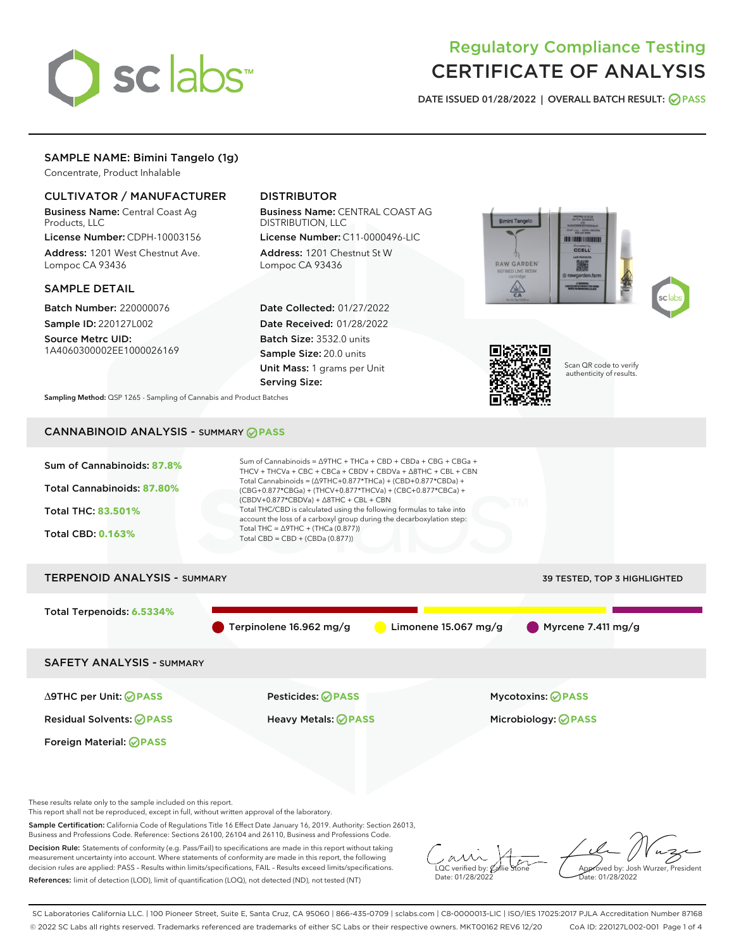

# Regulatory Compliance Testing CERTIFICATE OF ANALYSIS

DATE ISSUED 01/28/2022 | OVERALL BATCH RESULT: @ PASS

# SAMPLE NAME: Bimini Tangelo (1g)

Concentrate, Product Inhalable

### CULTIVATOR / MANUFACTURER

Business Name: Central Coast Ag Products, LLC

License Number: CDPH-10003156 Address: 1201 West Chestnut Ave. Lompoc CA 93436

### SAMPLE DETAIL

Batch Number: 220000076 Sample ID: 220127L002

Source Metrc UID: 1A4060300002EE1000026169

### DISTRIBUTOR

Business Name: CENTRAL COAST AG DISTRIBUTION, LLC License Number: C11-0000496-LIC

Address: 1201 Chestnut St W Lompoc CA 93436

Date Collected: 01/27/2022 Date Received: 01/28/2022 Batch Size: 3532.0 units Sample Size: 20.0 units Unit Mass: 1 grams per Unit Serving Size:





Scan QR code to verify authenticity of results.

Sampling Method: QSP 1265 - Sampling of Cannabis and Product Batches

## CANNABINOID ANALYSIS - SUMMARY **PASS**



This report shall not be reproduced, except in full, without written approval of the laboratory.

Sample Certification: California Code of Regulations Title 16 Effect Date January 16, 2019. Authority: Section 26013, Business and Professions Code. Reference: Sections 26100, 26104 and 26110, Business and Professions Code.

Decision Rule: Statements of conformity (e.g. Pass/Fail) to specifications are made in this report without taking measurement uncertainty into account. Where statements of conformity are made in this report, the following decision rules are applied: PASS – Results within limits/specifications, FAIL – Results exceed limits/specifications. References: limit of detection (LOD), limit of quantification (LOQ), not detected (ND), not tested (NT)

 $\overline{\text{LOC}}$  verified by:  $\mathcal C$ Date: 01/28/2022

Approved by: Josh Wurzer, President ate: 01/28/2022

SC Laboratories California LLC. | 100 Pioneer Street, Suite E, Santa Cruz, CA 95060 | 866-435-0709 | sclabs.com | C8-0000013-LIC | ISO/IES 17025:2017 PJLA Accreditation Number 87168 © 2022 SC Labs all rights reserved. Trademarks referenced are trademarks of either SC Labs or their respective owners. MKT00162 REV6 12/20 CoA ID: 220127L002-001 Page 1 of 4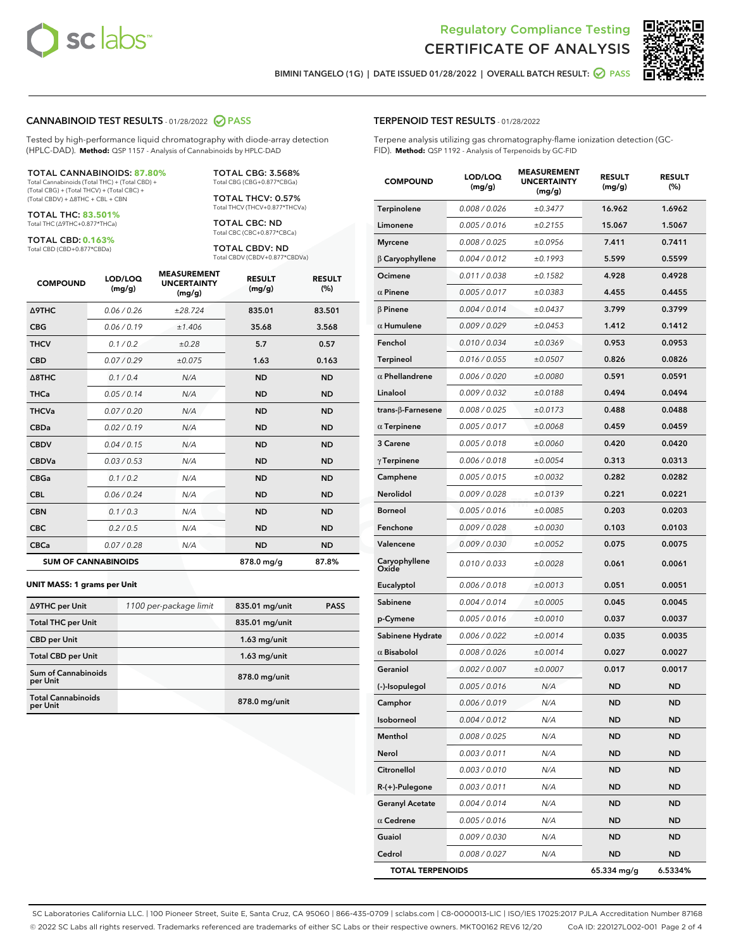



BIMINI TANGELO (1G) | DATE ISSUED 01/28/2022 | OVERALL BATCH RESULT: 2 PASS

#### CANNABINOID TEST RESULTS - 01/28/2022 2 PASS

Tested by high-performance liquid chromatography with diode-array detection (HPLC-DAD). **Method:** QSP 1157 - Analysis of Cannabinoids by HPLC-DAD

#### TOTAL CANNABINOIDS: **87.80%**

Total Cannabinoids (Total THC) + (Total CBD) + (Total CBG) + (Total THCV) + (Total CBC) + (Total CBDV) + ∆8THC + CBL + CBN

TOTAL THC: **83.501%** Total THC (∆9THC+0.877\*THCa)

TOTAL CBD: **0.163%**

Total CBD (CBD+0.877\*CBDa)

TOTAL CBG: 3.568% Total CBG (CBG+0.877\*CBGa)

TOTAL THCV: 0.57% Total THCV (THCV+0.877\*THCVa)

TOTAL CBC: ND Total CBC (CBC+0.877\*CBCa)

TOTAL CBDV: ND Total CBDV (CBDV+0.877\*CBDVa)

| <b>COMPOUND</b>  | LOD/LOQ<br>(mg/g)          | <b>MEASUREMENT</b><br><b>UNCERTAINTY</b><br>(mg/g) | <b>RESULT</b><br>(mg/g) | <b>RESULT</b><br>(%) |
|------------------|----------------------------|----------------------------------------------------|-------------------------|----------------------|
| <b>A9THC</b>     | 0.06 / 0.26                | ±28.724                                            | 835.01                  | 83.501               |
| <b>CBG</b>       | 0.06/0.19                  | ±1.406                                             | 35.68                   | 3.568                |
| <b>THCV</b>      | 0.1 / 0.2                  | ±0.28                                              | 5.7                     | 0.57                 |
| <b>CBD</b>       | 0.07/0.29                  | ±0.075                                             | 1.63                    | 0.163                |
| $\triangle$ 8THC | 0.1 / 0.4                  | N/A                                                | <b>ND</b>               | <b>ND</b>            |
| <b>THCa</b>      | 0.05/0.14                  | N/A                                                | <b>ND</b>               | <b>ND</b>            |
| <b>THCVa</b>     | 0.07/0.20                  | N/A                                                | <b>ND</b>               | <b>ND</b>            |
| <b>CBDa</b>      | 0.02/0.19                  | N/A                                                | <b>ND</b>               | <b>ND</b>            |
| <b>CBDV</b>      | 0.04/0.15                  | N/A                                                | <b>ND</b>               | <b>ND</b>            |
| <b>CBDVa</b>     | 0.03/0.53                  | N/A                                                | <b>ND</b>               | <b>ND</b>            |
| <b>CBGa</b>      | 0.1/0.2                    | N/A                                                | <b>ND</b>               | <b>ND</b>            |
| <b>CBL</b>       | 0.06 / 0.24                | N/A                                                | <b>ND</b>               | <b>ND</b>            |
| <b>CBN</b>       | 0.1/0.3                    | N/A                                                | <b>ND</b>               | <b>ND</b>            |
| <b>CBC</b>       | 0.2 / 0.5                  | N/A                                                | <b>ND</b>               | <b>ND</b>            |
| <b>CBCa</b>      | 0.07/0.28                  | N/A                                                | <b>ND</b>               | <b>ND</b>            |
|                  | <b>SUM OF CANNABINOIDS</b> |                                                    | 878.0 mg/g              | 87.8%                |

#### **UNIT MASS: 1 grams per Unit**

| ∆9THC per Unit                        | 1100 per-package limit | 835.01 mg/unit | <b>PASS</b> |
|---------------------------------------|------------------------|----------------|-------------|
| <b>Total THC per Unit</b>             |                        | 835.01 mg/unit |             |
| <b>CBD</b> per Unit                   |                        | $1.63$ mg/unit |             |
| <b>Total CBD per Unit</b>             |                        | $1.63$ mg/unit |             |
| Sum of Cannabinoids<br>per Unit       |                        | 878.0 mg/unit  |             |
| <b>Total Cannabinoids</b><br>per Unit |                        | 878.0 mg/unit  |             |

## TERPENOID TEST RESULTS - 01/28/2022

Terpene analysis utilizing gas chromatography-flame ionization detection (GC-FID). **Method:** QSP 1192 - Analysis of Terpenoids by GC-FID

| <b>COMPOUND</b>         | LOD/LOQ<br>(mg/g) | <b>MEASUREMENT</b><br><b>UNCERTAINTY</b><br>(mg/g) | <b>RESULT</b><br>(mg/g) | <b>RESULT</b><br>(%) |
|-------------------------|-------------------|----------------------------------------------------|-------------------------|----------------------|
| Terpinolene             | 0.008 / 0.026     | ±0.3477                                            | 16.962                  | 1.6962               |
| Limonene                | 0.005 / 0.016     | ±0.2155                                            | 15.067                  | 1.5067               |
| <b>Myrcene</b>          | 0.008 / 0.025     | ±0.0956                                            | 7.411                   | 0.7411               |
| $\beta$ Caryophyllene   | 0.004 / 0.012     | ±0.1993                                            | 5.599                   | 0.5599               |
| Ocimene                 | 0.011 / 0.038     | ±0.1582                                            | 4.928                   | 0.4928               |
| $\alpha$ Pinene         | 0.005 / 0.017     | ±0.0383                                            | 4.455                   | 0.4455               |
| $\beta$ Pinene          | 0.004 / 0.014     | ±0.0437                                            | 3.799                   | 0.3799               |
| $\alpha$ Humulene       | 0.009 / 0.029     | ±0.0453                                            | 1.412                   | 0.1412               |
| Fenchol                 | 0.010 / 0.034     | ±0.0369                                            | 0.953                   | 0.0953               |
| Terpineol               | 0.016 / 0.055     | ±0.0507                                            | 0.826                   | 0.0826               |
| $\alpha$ Phellandrene   | 0.006 / 0.020     | ±0.0080                                            | 0.591                   | 0.0591               |
| Linalool                | 0.009 / 0.032     | ±0.0188                                            | 0.494                   | 0.0494               |
| trans-ß-Farnesene       | 0.008 / 0.025     | ±0.0173                                            | 0.488                   | 0.0488               |
| $\alpha$ Terpinene      | 0.005 / 0.017     | ±0.0068                                            | 0.459                   | 0.0459               |
| 3 Carene                | 0.005 / 0.018     | ±0.0060                                            | 0.420                   | 0.0420               |
| $\gamma$ Terpinene      | 0.006 / 0.018     | ±0.0054                                            | 0.313                   | 0.0313               |
| Camphene                | 0.005 / 0.015     | ±0.0032                                            | 0.282                   | 0.0282               |
| Nerolidol               | 0.009 / 0.028     | ±0.0139                                            | 0.221                   | 0.0221               |
| <b>Borneol</b>          | 0.005 / 0.016     | ±0.0085                                            | 0.203                   | 0.0203               |
| Fenchone                | 0.009 / 0.028     | ±0.0030                                            | 0.103                   | 0.0103               |
| Valencene               | 0.009 / 0.030     | ±0.0052                                            | 0.075                   | 0.0075               |
| Caryophyllene<br>Oxide  | 0.010 / 0.033     | ±0.0028                                            | 0.061                   | 0.0061               |
| Eucalyptol              | 0.006 / 0.018     | ±0.0013                                            | 0.051                   | 0.0051               |
| Sabinene                | 0.004 / 0.014     | ±0.0005                                            | 0.045                   | 0.0045               |
| p-Cymene                | 0.005 / 0.016     | ±0.0010                                            | 0.037                   | 0.0037               |
| Sabinene Hydrate        | 0.006 / 0.022     | ±0.0014                                            | 0.035                   | 0.0035               |
| $\alpha$ Bisabolol      | 0.008 / 0.026     | ±0.0014                                            | 0.027                   | 0.0027               |
| Geraniol                | 0.002 / 0.007     | ±0.0007                                            | 0.017                   | 0.0017               |
| (-)-Isopulegol          | 0.005 / 0.016     | N/A                                                | ND                      | <b>ND</b>            |
| Camphor                 | 0.006 / 0.019     | N/A                                                | ND                      | ND                   |
| Isoborneol              | 0.004 / 0.012     | N/A                                                | ND                      | ND                   |
| Menthol                 | 0.008 / 0.025     | N/A                                                | ND                      | ND                   |
| Nerol                   | 0.003 / 0.011     | N/A                                                | <b>ND</b>               | ND                   |
| Citronellol             | 0.003 / 0.010     | N/A                                                | <b>ND</b>               | ND                   |
| R-(+)-Pulegone          | 0.003 / 0.011     | N/A                                                | ND                      | ND                   |
| <b>Geranyl Acetate</b>  | 0.004 / 0.014     | N/A                                                | ND                      | ND                   |
| $\alpha$ Cedrene        | 0.005 / 0.016     | N/A                                                | <b>ND</b>               | ND                   |
| Guaiol                  | 0.009 / 0.030     | N/A                                                | ND                      | ND                   |
| Cedrol                  | 0.008 / 0.027     | N/A                                                | ND                      | ND                   |
| <b>TOTAL TERPENOIDS</b> |                   |                                                    | 65.334 mg/g             | 6.5334%              |

SC Laboratories California LLC. | 100 Pioneer Street, Suite E, Santa Cruz, CA 95060 | 866-435-0709 | sclabs.com | C8-0000013-LIC | ISO/IES 17025:2017 PJLA Accreditation Number 87168 © 2022 SC Labs all rights reserved. Trademarks referenced are trademarks of either SC Labs or their respective owners. MKT00162 REV6 12/20 CoA ID: 220127L002-001 Page 2 of 4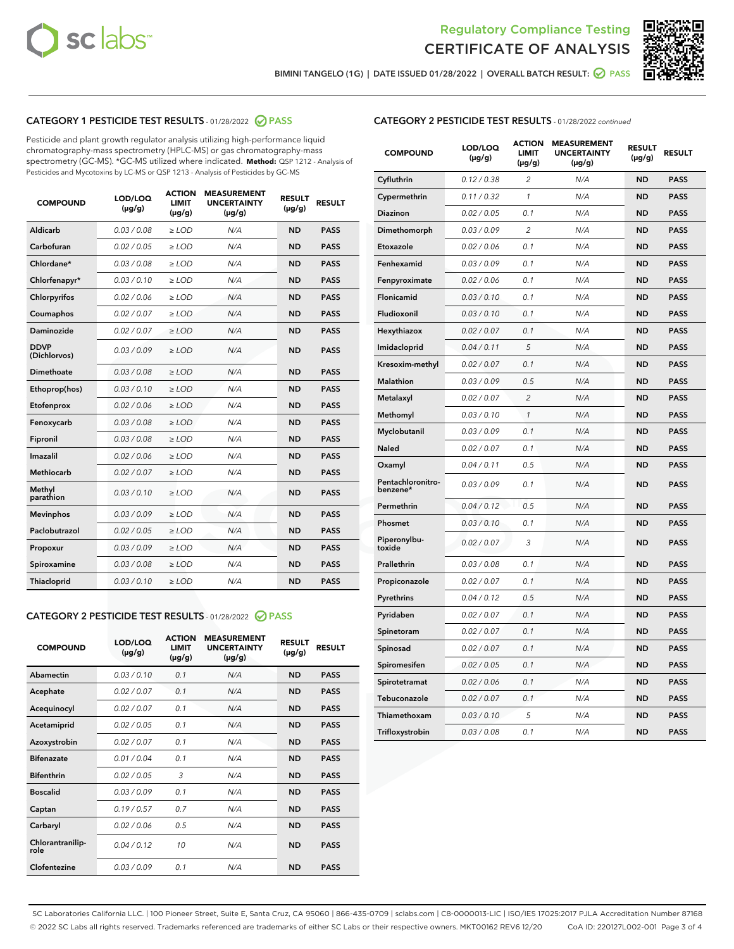



BIMINI TANGELO (1G) | DATE ISSUED 01/28/2022 | OVERALL BATCH RESULT:  $\bigcirc$  PASS

### CATEGORY 1 PESTICIDE TEST RESULTS - 01/28/2022 2 PASS

Pesticide and plant growth regulator analysis utilizing high-performance liquid chromatography-mass spectrometry (HPLC-MS) or gas chromatography-mass spectrometry (GC-MS). \*GC-MS utilized where indicated. **Method:** QSP 1212 - Analysis of Pesticides and Mycotoxins by LC-MS or QSP 1213 - Analysis of Pesticides by GC-MS

| <b>COMPOUND</b>             | LOD/LOQ<br>$(\mu g/g)$ | <b>ACTION</b><br><b>LIMIT</b><br>$(\mu g/g)$ | <b>MEASUREMENT</b><br><b>UNCERTAINTY</b><br>$(\mu g/g)$ | <b>RESULT</b><br>$(\mu g/g)$ | <b>RESULT</b> |
|-----------------------------|------------------------|----------------------------------------------|---------------------------------------------------------|------------------------------|---------------|
| Aldicarb                    | 0.03 / 0.08            | $\ge$ LOD                                    | N/A                                                     | <b>ND</b>                    | <b>PASS</b>   |
| Carbofuran                  | 0.02/0.05              | $\geq$ LOD                                   | N/A                                                     | <b>ND</b>                    | <b>PASS</b>   |
| Chlordane*                  | 0.03 / 0.08            | $>$ LOD                                      | N/A                                                     | <b>ND</b>                    | <b>PASS</b>   |
| Chlorfenapyr*               | 0.03/0.10              | $>$ LOD                                      | N/A                                                     | <b>ND</b>                    | <b>PASS</b>   |
| Chlorpyrifos                | 0.02 / 0.06            | $\geq$ LOD                                   | N/A                                                     | <b>ND</b>                    | <b>PASS</b>   |
| Coumaphos                   | 0.02 / 0.07            | $\ge$ LOD                                    | N/A                                                     | <b>ND</b>                    | <b>PASS</b>   |
| Daminozide                  | 0.02 / 0.07            | $\ge$ LOD                                    | N/A                                                     | <b>ND</b>                    | <b>PASS</b>   |
| <b>DDVP</b><br>(Dichlorvos) | 0.03/0.09              | $\ge$ LOD                                    | N/A                                                     | <b>ND</b>                    | <b>PASS</b>   |
| Dimethoate                  | 0.03 / 0.08            | $\ge$ LOD                                    | N/A                                                     | <b>ND</b>                    | <b>PASS</b>   |
| Ethoprop(hos)               | 0.03/0.10              | $>$ LOD                                      | N/A                                                     | <b>ND</b>                    | <b>PASS</b>   |
| Etofenprox                  | 0.02 / 0.06            | $\ge$ LOD                                    | N/A                                                     | <b>ND</b>                    | <b>PASS</b>   |
| Fenoxycarb                  | 0.03/0.08              | $\ge$ LOD                                    | N/A                                                     | <b>ND</b>                    | <b>PASS</b>   |
| Fipronil                    | 0.03 / 0.08            | $\ge$ LOD                                    | N/A                                                     | <b>ND</b>                    | <b>PASS</b>   |
| Imazalil                    | 0.02 / 0.06            | $>$ LOD                                      | N/A                                                     | <b>ND</b>                    | <b>PASS</b>   |
| Methiocarb                  | 0.02 / 0.07            | $\ge$ LOD                                    | N/A                                                     | <b>ND</b>                    | <b>PASS</b>   |
| Methyl<br>parathion         | 0.03/0.10              | $\ge$ LOD                                    | N/A                                                     | <b>ND</b>                    | <b>PASS</b>   |
| <b>Mevinphos</b>            | 0.03/0.09              | $\ge$ LOD                                    | N/A                                                     | <b>ND</b>                    | <b>PASS</b>   |
| Paclobutrazol               | 0.02 / 0.05            | $\ge$ LOD                                    | N/A                                                     | <b>ND</b>                    | <b>PASS</b>   |
| Propoxur                    | 0.03/0.09              | $\ge$ LOD                                    | N/A                                                     | <b>ND</b>                    | <b>PASS</b>   |
| Spiroxamine                 | 0.03 / 0.08            | $\ge$ LOD                                    | N/A                                                     | <b>ND</b>                    | <b>PASS</b>   |
| Thiacloprid                 | 0.03/0.10              | $\ge$ LOD                                    | N/A                                                     | <b>ND</b>                    | <b>PASS</b>   |

#### CATEGORY 2 PESTICIDE TEST RESULTS - 01/28/2022 2 PASS

| <b>COMPOUND</b>          | LOD/LOO<br>$(\mu g/g)$ | <b>ACTION</b><br>LIMIT<br>$(\mu g/g)$ | <b>MEASUREMENT</b><br><b>UNCERTAINTY</b><br>$(\mu g/g)$ | <b>RESULT</b><br>$(\mu g/g)$ | <b>RESULT</b> |  |
|--------------------------|------------------------|---------------------------------------|---------------------------------------------------------|------------------------------|---------------|--|
| Abamectin                | 0.03/0.10              | 0.1                                   | N/A                                                     | <b>ND</b>                    | <b>PASS</b>   |  |
| Acephate                 | 0.02/0.07              | 0.1                                   | N/A                                                     | <b>ND</b>                    | <b>PASS</b>   |  |
| Acequinocyl              | 0.02/0.07              | 0.1                                   | N/A                                                     | <b>ND</b>                    | <b>PASS</b>   |  |
| Acetamiprid              | 0.02 / 0.05            | 0.1                                   | N/A                                                     | <b>ND</b>                    | <b>PASS</b>   |  |
| Azoxystrobin             | 0.02/0.07              | 0.1                                   | N/A                                                     | <b>ND</b>                    | <b>PASS</b>   |  |
| <b>Bifenazate</b>        | 0.01 / 0.04            | 0.1                                   | N/A                                                     | <b>ND</b>                    | <b>PASS</b>   |  |
| <b>Bifenthrin</b>        | 0.02 / 0.05            | 3                                     | N/A                                                     | <b>ND</b>                    | <b>PASS</b>   |  |
| <b>Boscalid</b>          | 0.03/0.09              | 0.1                                   | N/A                                                     | <b>ND</b>                    | <b>PASS</b>   |  |
| Captan                   | 0.19/0.57              | 0.7                                   | N/A                                                     | <b>ND</b>                    | <b>PASS</b>   |  |
| Carbaryl                 | 0.02/0.06              | 0.5                                   | N/A                                                     | <b>ND</b>                    | <b>PASS</b>   |  |
| Chlorantranilip-<br>role | 0.04/0.12              | 10                                    | N/A                                                     | <b>ND</b>                    | <b>PASS</b>   |  |
| Clofentezine             | 0.03/0.09              | 0.1                                   | N/A                                                     | <b>ND</b>                    | <b>PASS</b>   |  |

| <b>CATEGORY 2 PESTICIDE TEST RESULTS</b> - 01/28/2022 continued |
|-----------------------------------------------------------------|
|-----------------------------------------------------------------|

| <b>COMPOUND</b>               | LOD/LOQ<br>(µg/g) | <b>ACTION</b><br>LIMIT<br>$(\mu g/g)$ | <b>MEASUREMENT</b><br><b>UNCERTAINTY</b><br>$(\mu g/g)$ | <b>RESULT</b><br>(µg/g) | <b>RESULT</b> |
|-------------------------------|-------------------|---------------------------------------|---------------------------------------------------------|-------------------------|---------------|
| Cyfluthrin                    | 0.12 / 0.38       | $\overline{c}$                        | N/A                                                     | <b>ND</b>               | <b>PASS</b>   |
| Cypermethrin                  | 0.11 / 0.32       | 1                                     | N/A                                                     | ND                      | <b>PASS</b>   |
| Diazinon                      | 0.02 / 0.05       | 0.1                                   | N/A                                                     | ND                      | <b>PASS</b>   |
| Dimethomorph                  | 0.03 / 0.09       | $\overline{c}$                        | N/A                                                     | <b>ND</b>               | <b>PASS</b>   |
| Etoxazole                     | 0.02 / 0.06       | 0.1                                   | N/A                                                     | ND                      | <b>PASS</b>   |
| Fenhexamid                    | 0.03 / 0.09       | 0.1                                   | N/A                                                     | ND                      | <b>PASS</b>   |
| Fenpyroximate                 | 0.02 / 0.06       | 0.1                                   | N/A                                                     | ND                      | <b>PASS</b>   |
| Flonicamid                    | 0.03/0.10         | 0.1                                   | N/A                                                     | <b>ND</b>               | <b>PASS</b>   |
| Fludioxonil                   | 0.03 / 0.10       | 0.1                                   | N/A                                                     | <b>ND</b>               | <b>PASS</b>   |
| Hexythiazox                   | 0.02 / 0.07       | 0.1                                   | N/A                                                     | ND                      | <b>PASS</b>   |
| Imidacloprid                  | 0.04 / 0.11       | 5                                     | N/A                                                     | <b>ND</b>               | <b>PASS</b>   |
| Kresoxim-methyl               | 0.02 / 0.07       | 0.1                                   | N/A                                                     | ND                      | <b>PASS</b>   |
| Malathion                     | 0.03 / 0.09       | 0.5                                   | N/A                                                     | ND                      | <b>PASS</b>   |
| Metalaxyl                     | 0.02 / 0.07       | $\overline{2}$                        | N/A                                                     | <b>ND</b>               | <b>PASS</b>   |
| Methomyl                      | 0.03 / 0.10       | 1                                     | N/A                                                     | <b>ND</b>               | <b>PASS</b>   |
| Myclobutanil                  | 0.03 / 0.09       | 0.1                                   | N/A                                                     | ND                      | <b>PASS</b>   |
| <b>Naled</b>                  | 0.02 / 0.07       | 0.1                                   | N/A                                                     | ND                      | <b>PASS</b>   |
| Oxamyl                        | 0.04 / 0.11       | 0.5                                   | N/A                                                     | ND                      | <b>PASS</b>   |
| Pentachloronitro-<br>benzene* | 0.03/0.09         | 0.1                                   | N/A                                                     | ND                      | <b>PASS</b>   |
| Permethrin                    | 0.04 / 0.12       | 0.5                                   | N/A                                                     | ND                      | <b>PASS</b>   |
| Phosmet                       | 0.03 / 0.10       | 0.1                                   | N/A                                                     | <b>ND</b>               | <b>PASS</b>   |
| Piperonylbu-<br>toxide        | 0.02 / 0.07       | 3                                     | N/A                                                     | ND                      | <b>PASS</b>   |
| Prallethrin                   | 0.03 / 0.08       | 0.1                                   | N/A                                                     | ND                      | <b>PASS</b>   |
| Propiconazole                 | 0.02 / 0.07       | 0.1                                   | N/A                                                     | ND                      | PASS          |
| Pyrethrins                    | 0.04 / 0.12       | 0.5                                   | N/A                                                     | <b>ND</b>               | <b>PASS</b>   |
| Pyridaben                     | 0.02 / 0.07       | 0.1                                   | N/A                                                     | ND                      | <b>PASS</b>   |
| Spinetoram                    | 0.02 / 0.07       | 0.1                                   | N/A                                                     | ND                      | <b>PASS</b>   |
| Spinosad                      | 0.02 / 0.07       | 0.1                                   | N/A                                                     | ND                      | <b>PASS</b>   |
| Spiromesifen                  | 0.02 / 0.05       | 0.1                                   | N/A                                                     | ND                      | PASS          |
| Spirotetramat                 | 0.02 / 0.06       | 0.1                                   | N/A                                                     | ND                      | PASS          |
| Tebuconazole                  | 0.02 / 0.07       | 0.1                                   | N/A                                                     | ND                      | <b>PASS</b>   |
| Thiamethoxam                  | 0.03 / 0.10       | 5                                     | N/A                                                     | ND                      | <b>PASS</b>   |
| Trifloxystrobin               | 0.03 / 0.08       | 0.1                                   | N/A                                                     | ND                      | <b>PASS</b>   |

SC Laboratories California LLC. | 100 Pioneer Street, Suite E, Santa Cruz, CA 95060 | 866-435-0709 | sclabs.com | C8-0000013-LIC | ISO/IES 17025:2017 PJLA Accreditation Number 87168 © 2022 SC Labs all rights reserved. Trademarks referenced are trademarks of either SC Labs or their respective owners. MKT00162 REV6 12/20 CoA ID: 220127L002-001 Page 3 of 4